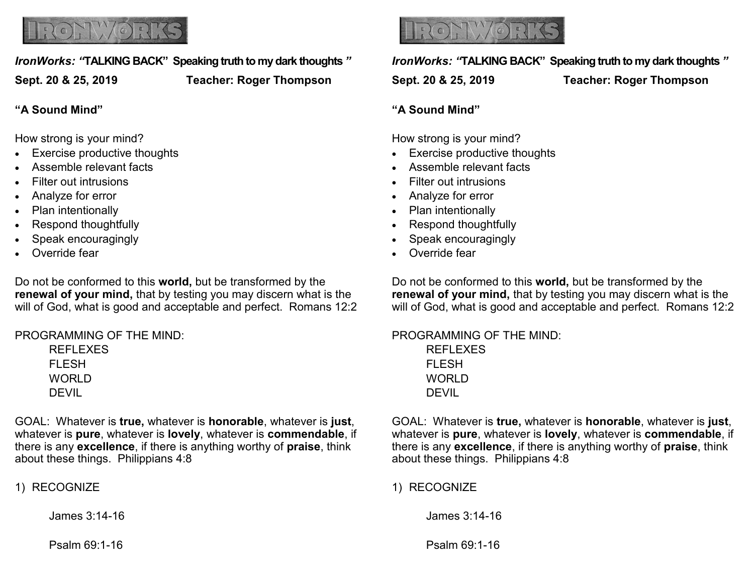

# *IronWorks: "***TALKING BACK" Speaking truth to my dark thoughts** *"*

**Sept. 20 & 25, 2019 Teacher: Roger Thompson**

**"A Sound Mind"**

How strong is your mind?

- Exercise productive thoughts
- Assemble relevant facts
- Filter out intrusions
- Analyze for error
- Plan intentionally
- Respond thoughtfully
- Speak encouragingly
- Override fear

Do not be conformed to this **world,** but be transformed by the **renewal of your mind,** that by testing you may discern what is the will of God, what is good and acceptable and perfect. Romans 12:2

PROGRAMMING OF THE MIND:

REFLEXES FLESH WORLD DEVIL

GOAL: Whatever is **true,** whatever is **honorable**, whatever is **just**, whatever is **pure**, whatever is **lovely**, whatever is **commendable**, if there is any **excellence**, if there is anything worthy of **praise**, think about these things. Philippians 4:8

1) RECOGNIZE

James 3:14-16

Psalm 69:1-16



*IronWorks: "***TALKING BACK" Speaking truth to my dark thoughts** *"*

**Sept. 20 & 25, 2019 Teacher: Roger Thompson**

#### **"A Sound Mind"**

How strong is your mind?

- Exercise productive thoughts
- Assemble relevant facts
- Filter out intrusions
- Analyze for error
- Plan intentionally
- Respond thoughtfully
- Speak encouragingly
- Override fear

Do not be conformed to this **world,** but be transformed by the **renewal of your mind,** that by testing you may discern what is the will of God, what is good and acceptable and perfect. Romans 12:2

PROGRAMMING OF THE MIND: REFLEXES FLESH **WORLD** DEVIL

GOAL: Whatever is **true,** whatever is **honorable**, whatever is **just**, whatever is **pure**, whatever is **lovely**, whatever is **commendable**, if there is any **excellence**, if there is anything worthy of **praise**, think about these things. Philippians 4:8

1) RECOGNIZE

James 3:14-16

Psalm 69:1-16